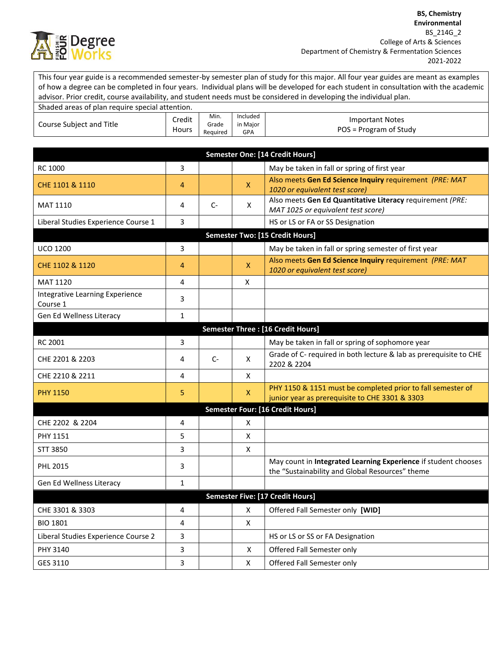

This four year guide is a recommended semester-by semester plan of study for this major. All four year guides are meant as examples of how a degree can be completed in four years. Individual plans will be developed for each student in consultation with the academic advisor. Prior credit, course availability, and student needs must be considered in developing the individual plan. Shaded areas of plan require special attention.

| Shaqed areas of plan require special attention. |                 |                           |                             |                                                                                                                   |  |  |
|-------------------------------------------------|-----------------|---------------------------|-----------------------------|-------------------------------------------------------------------------------------------------------------------|--|--|
| Course Subject and Title                        | Credit<br>Hours | Min.<br>Grade<br>Reauired | Included<br>in Major<br>GPA | <b>Important Notes</b><br>POS = Program of Study                                                                  |  |  |
|                                                 |                 |                           |                             |                                                                                                                   |  |  |
|                                                 |                 |                           |                             | Semester One: [14 Credit Hours]                                                                                   |  |  |
| RC 1000                                         | 3               |                           |                             | May be taken in fall or spring of first year                                                                      |  |  |
| CHE 1101 & 1110                                 | 4               |                           | $\pmb{\mathsf{X}}$          | Also meets Gen Ed Science Inquiry requirement (PRE: MAT<br>1020 or equivalent test score)                         |  |  |
| <b>MAT 1110</b>                                 | 4               | $C-$                      | X                           | Also meets Gen Ed Quantitative Literacy requirement (PRE:<br>MAT 1025 or equivalent test score)                   |  |  |
| Liberal Studies Experience Course 1             | 3               |                           |                             | HS or LS or FA or SS Designation                                                                                  |  |  |
| <b>Semester Two: [15 Credit Hours]</b>          |                 |                           |                             |                                                                                                                   |  |  |
| <b>UCO 1200</b>                                 | 3               |                           |                             | May be taken in fall or spring semester of first year                                                             |  |  |
| CHE 1102 & 1120                                 | 4               |                           | X                           | Also meets Gen Ed Science Inquiry requirement (PRE: MAT<br>1020 or equivalent test score)                         |  |  |
| MAT 1120                                        | 4               |                           | X                           |                                                                                                                   |  |  |
| Integrative Learning Experience<br>Course 1     | 3               |                           |                             |                                                                                                                   |  |  |
| Gen Ed Wellness Literacy                        | $\mathbf{1}$    |                           |                             |                                                                                                                   |  |  |
|                                                 |                 |                           |                             | Semester Three : [16 Credit Hours]                                                                                |  |  |
| RC 2001                                         | 3               |                           |                             | May be taken in fall or spring of sophomore year                                                                  |  |  |
| CHE 2201 & 2203                                 | 4               | $C-$                      | X                           | Grade of C- required in both lecture & lab as prerequisite to CHE<br>2202 & 2204                                  |  |  |
| CHE 2210 & 2211                                 | 4               |                           | X                           |                                                                                                                   |  |  |
| <b>PHY 1150</b>                                 | 5               |                           | X                           | PHY 1150 & 1151 must be completed prior to fall semester of<br>junior year as prerequisite to CHE 3301 & 3303     |  |  |
|                                                 |                 |                           |                             | Semester Four: [16 Credit Hours]                                                                                  |  |  |
| CHE 2202 & 2204                                 | 4               |                           | Χ                           |                                                                                                                   |  |  |
| PHY 1151                                        | 5               |                           | x                           |                                                                                                                   |  |  |
| STT 3850                                        | 3               |                           | X                           |                                                                                                                   |  |  |
| <b>PHL 2015</b>                                 | 3               |                           |                             | May count in Integrated Learning Experience if student chooses<br>the "Sustainability and Global Resources" theme |  |  |
| Gen Ed Wellness Literacy                        | $\mathbf{1}$    |                           |                             |                                                                                                                   |  |  |
|                                                 |                 |                           |                             | Semester Five: [17 Credit Hours]                                                                                  |  |  |
| CHE 3301 & 3303                                 | 4               |                           | X                           | Offered Fall Semester only [WID]                                                                                  |  |  |
| <b>BIO 1801</b>                                 | 4               |                           | X                           |                                                                                                                   |  |  |
| Liberal Studies Experience Course 2             | 3               |                           |                             | HS or LS or SS or FA Designation                                                                                  |  |  |
| PHY 3140                                        | 3               |                           | $\mathsf{X}$                | Offered Fall Semester only                                                                                        |  |  |
| GES 3110                                        | 3               |                           | X                           | Offered Fall Semester only                                                                                        |  |  |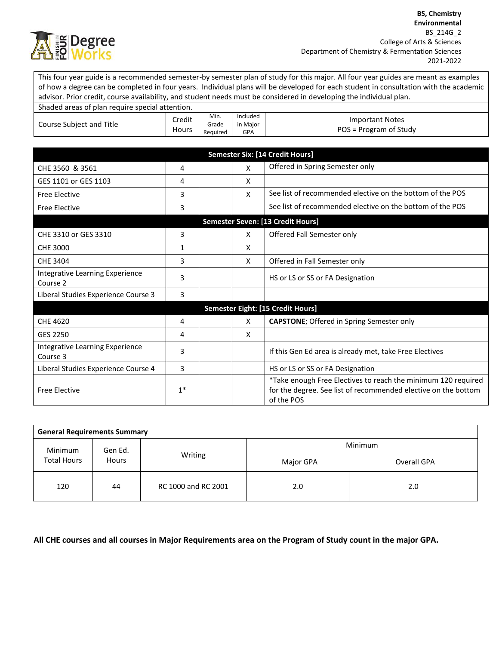

This four year guide is a recommended semester-by semester plan of study for this major. All four year guides are meant as examples of how a degree can be completed in four years. Individual plans will be developed for each student in consultation with the academic advisor. Prior credit, course availability, and student needs must be considered in developing the individual plan.

| Shaded areas of plan require special attention. |                        |                           |                             |                                                                                                                                               |  |  |
|-------------------------------------------------|------------------------|---------------------------|-----------------------------|-----------------------------------------------------------------------------------------------------------------------------------------------|--|--|
| Course Subject and Title                        | Credit<br><b>Hours</b> | Min.<br>Grade<br>Required | Included<br>in Major<br>GPA | <b>Important Notes</b><br>POS = Program of Study                                                                                              |  |  |
|                                                 |                        |                           |                             |                                                                                                                                               |  |  |
| <b>Semester Six: [14 Credit Hours]</b>          |                        |                           |                             |                                                                                                                                               |  |  |
| CHE 3560 & 3561                                 | 4                      |                           | X                           | Offered in Spring Semester only                                                                                                               |  |  |
| GES 1101 or GES 1103                            | 4                      |                           | X                           |                                                                                                                                               |  |  |
| <b>Free Elective</b>                            | 3                      |                           | X                           | See list of recommended elective on the bottom of the POS                                                                                     |  |  |
| <b>Free Elective</b>                            | 3                      |                           |                             | See list of recommended elective on the bottom of the POS                                                                                     |  |  |
|                                                 |                        |                           |                             | Semester Seven: [13 Credit Hours]                                                                                                             |  |  |
| CHE 3310 or GES 3310                            | 3                      |                           | X                           | Offered Fall Semester only                                                                                                                    |  |  |
| <b>CHE 3000</b>                                 | $\mathbf{1}$           |                           | X                           |                                                                                                                                               |  |  |
| <b>CHE 3404</b>                                 | 3                      |                           | X                           | Offered in Fall Semester only                                                                                                                 |  |  |
| Integrative Learning Experience<br>Course 2     | 3                      |                           |                             | HS or LS or SS or FA Designation                                                                                                              |  |  |
| Liberal Studies Experience Course 3             | 3                      |                           |                             |                                                                                                                                               |  |  |
| Semester Eight: [15 Credit Hours]               |                        |                           |                             |                                                                                                                                               |  |  |
| CHE 4620                                        | 4                      |                           | X                           | <b>CAPSTONE</b> ; Offered in Spring Semester only                                                                                             |  |  |
| GES 2250                                        | 4                      |                           | X                           |                                                                                                                                               |  |  |
| Integrative Learning Experience<br>Course 3     | 3                      |                           |                             | If this Gen Ed area is already met, take Free Electives                                                                                       |  |  |
| Liberal Studies Experience Course 4             | 3                      |                           |                             | HS or LS or SS or FA Designation                                                                                                              |  |  |
| <b>Free Elective</b>                            | $1*$                   |                           |                             | *Take enough Free Electives to reach the minimum 120 required<br>for the degree. See list of recommended elective on the bottom<br>of the POS |  |  |

| <b>General Requirements Summary</b> |    |                     |           |             |  |  |
|-------------------------------------|----|---------------------|-----------|-------------|--|--|
| Minimum<br>Gen Ed.                  |    | Minimum             |           |             |  |  |
| <b>Total Hours</b><br><b>Hours</b>  |    | Writing             | Major GPA | Overall GPA |  |  |
| 120                                 | 44 | RC 1000 and RC 2001 | 2.0       | 2.0         |  |  |

**All CHE courses and all courses in Major Requirements area on the Program of Study count in the major GPA.**